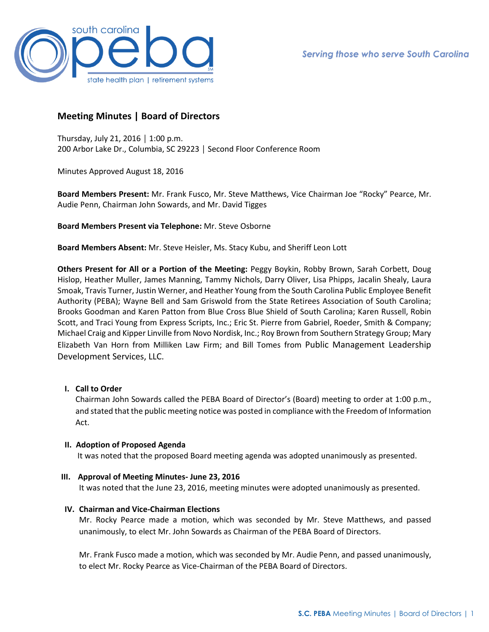

# **Meeting Minutes | Board of Directors**

Thursday, July 21, 2016 │ 1:00 p.m. 200 Arbor Lake Dr., Columbia, SC 29223 │ Second Floor Conference Room

Minutes Approved August 18, 2016

**Board Members Present:** Mr. Frank Fusco, Mr. Steve Matthews, Vice Chairman Joe "Rocky" Pearce, Mr. Audie Penn, Chairman John Sowards, and Mr. David Tigges

**Board Members Present via Telephone:** Mr. Steve Osborne

**Board Members Absent:** Mr. Steve Heisler, Ms. Stacy Kubu, and Sheriff Leon Lott

**Others Present for All or a Portion of the Meeting:** Peggy Boykin, Robby Brown, Sarah Corbett, Doug Hislop, Heather Muller, James Manning, Tammy Nichols, Darry Oliver, Lisa Phipps, Jacalin Shealy, Laura Smoak, Travis Turner, Justin Werner, and Heather Young from the South Carolina Public Employee Benefit Authority (PEBA); Wayne Bell and Sam Griswold from the State Retirees Association of South Carolina; Brooks Goodman and Karen Patton from Blue Cross Blue Shield of South Carolina; Karen Russell, Robin Scott, and Traci Young from Express Scripts, Inc.; Eric St. Pierre from Gabriel, Roeder, Smith & Company; Michael Craig and Kipper Linville from Novo Nordisk, Inc.; Roy Brown from Southern Strategy Group; Mary Elizabeth Van Horn from Milliken Law Firm; and Bill Tomes from Public Management Leadership Development Services, LLC.

## **I. Call to Order**

Chairman John Sowards called the PEBA Board of Director's (Board) meeting to order at 1:00 p.m., and stated that the public meeting notice was posted in compliance with the Freedom of Information Act.

## **II. Adoption of Proposed Agenda**

It was noted that the proposed Board meeting agenda was adopted unanimously as presented.

## **III. Approval of Meeting Minutes- June 23, 2016**

It was noted that the June 23, 2016, meeting minutes were adopted unanimously as presented.

## **IV. Chairman and Vice-Chairman Elections**

Mr. Rocky Pearce made a motion, which was seconded by Mr. Steve Matthews, and passed unanimously, to elect Mr. John Sowards as Chairman of the PEBA Board of Directors.

Mr. Frank Fusco made a motion, which was seconded by Mr. Audie Penn, and passed unanimously, to elect Mr. Rocky Pearce as Vice-Chairman of the PEBA Board of Directors.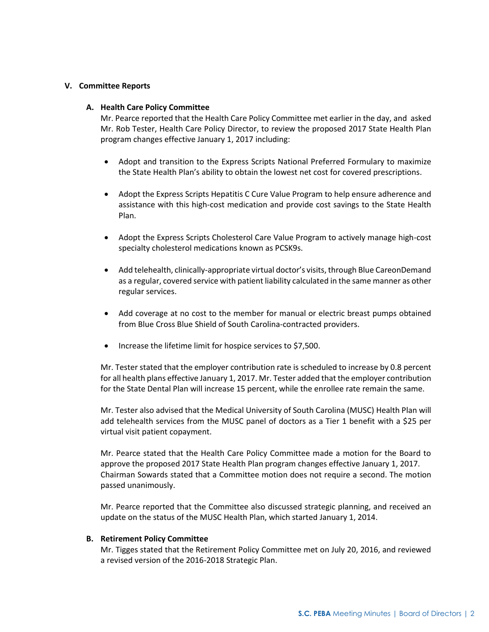## **V. Committee Reports**

## **A. Health Care Policy Committee**

Mr. Pearce reported that the Health Care Policy Committee met earlier in the day, and asked Mr. Rob Tester, Health Care Policy Director, to review the proposed 2017 State Health Plan program changes effective January 1, 2017 including:

- Adopt and transition to the Express Scripts National Preferred Formulary to maximize the State Health Plan's ability to obtain the lowest net cost for covered prescriptions.
- Adopt the Express Scripts Hepatitis C Cure Value Program to help ensure adherence and assistance with this high-cost medication and provide cost savings to the State Health Plan.
- Adopt the Express Scripts Cholesterol Care Value Program to actively manage high-cost specialty cholesterol medications known as PCSK9s.
- Add telehealth, clinically-appropriate virtual doctor's visits, through Blue CareonDemand as a regular, covered service with patient liability calculated in the same manner as other regular services.
- Add coverage at no cost to the member for manual or electric breast pumps obtained from Blue Cross Blue Shield of South Carolina-contracted providers.
- Increase the lifetime limit for hospice services to \$7,500.

Mr. Tester stated that the employer contribution rate is scheduled to increase by 0.8 percent for all health plans effective January 1, 2017. Mr. Tester added that the employer contribution for the State Dental Plan will increase 15 percent, while the enrollee rate remain the same.

Mr. Tester also advised that the Medical University of South Carolina (MUSC) Health Plan will add telehealth services from the MUSC panel of doctors as a Tier 1 benefit with a \$25 per virtual visit patient copayment.

Mr. Pearce stated that the Health Care Policy Committee made a motion for the Board to approve the proposed 2017 State Health Plan program changes effective January 1, 2017. Chairman Sowards stated that a Committee motion does not require a second. The motion passed unanimously.

Mr. Pearce reported that the Committee also discussed strategic planning, and received an update on the status of the MUSC Health Plan, which started January 1, 2014.

## **B. Retirement Policy Committee**

Mr. Tigges stated that the Retirement Policy Committee met on July 20, 2016, and reviewed a revised version of the 2016-2018 Strategic Plan.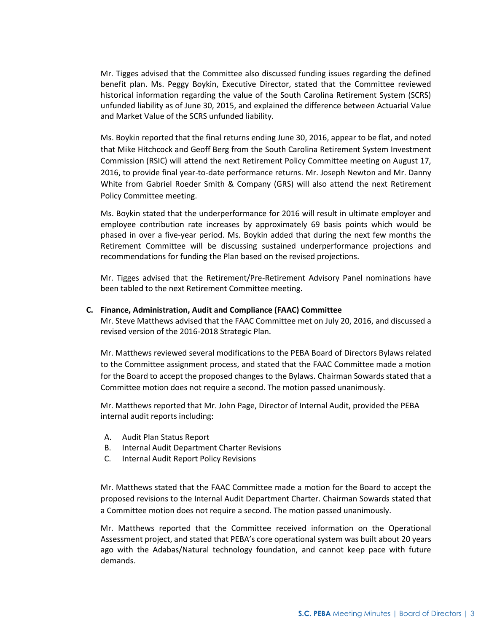Mr. Tigges advised that the Committee also discussed funding issues regarding the defined benefit plan. Ms. Peggy Boykin, Executive Director, stated that the Committee reviewed historical information regarding the value of the South Carolina Retirement System (SCRS) unfunded liability as of June 30, 2015, and explained the difference between Actuarial Value and Market Value of the SCRS unfunded liability.

Ms. Boykin reported that the final returns ending June 30, 2016, appear to be flat, and noted that Mike Hitchcock and Geoff Berg from the South Carolina Retirement System Investment Commission (RSIC) will attend the next Retirement Policy Committee meeting on August 17, 2016, to provide final year-to-date performance returns. Mr. Joseph Newton and Mr. Danny White from Gabriel Roeder Smith & Company (GRS) will also attend the next Retirement Policy Committee meeting.

Ms. Boykin stated that the underperformance for 2016 will result in ultimate employer and employee contribution rate increases by approximately 69 basis points which would be phased in over a five-year period. Ms. Boykin added that during the next few months the Retirement Committee will be discussing sustained underperformance projections and recommendations for funding the Plan based on the revised projections.

Mr. Tigges advised that the Retirement/Pre-Retirement Advisory Panel nominations have been tabled to the next Retirement Committee meeting.

## **C. Finance, Administration, Audit and Compliance (FAAC) Committee**

Mr. Steve Matthews advised that the FAAC Committee met on July 20, 2016, and discussed a revised version of the 2016-2018 Strategic Plan.

Mr. Matthews reviewed several modifications to the PEBA Board of Directors Bylaws related to the Committee assignment process, and stated that the FAAC Committee made a motion for the Board to accept the proposed changes to the Bylaws. Chairman Sowards stated that a Committee motion does not require a second. The motion passed unanimously.

Mr. Matthews reported that Mr. John Page, Director of Internal Audit, provided the PEBA internal audit reports including:

- A. Audit Plan Status Report
- B. Internal Audit Department Charter Revisions
- C. Internal Audit Report Policy Revisions

Mr. Matthews stated that the FAAC Committee made a motion for the Board to accept the proposed revisions to the Internal Audit Department Charter. Chairman Sowards stated that a Committee motion does not require a second. The motion passed unanimously.

Mr. Matthews reported that the Committee received information on the Operational Assessment project, and stated that PEBA's core operational system was built about 20 years ago with the Adabas/Natural technology foundation, and cannot keep pace with future demands.